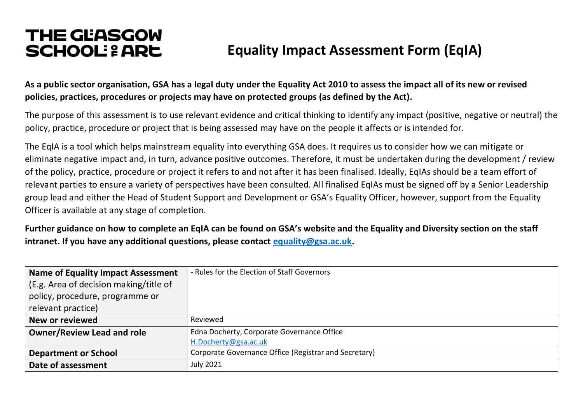# **THE GEASGOW SCHOOL: 2 ARE** Equality Impact Assessment Form (EqIA)

**As a public sector organisation, GSA has a legal duty under the Equality Act 2010 to assess the impact all of its new or revised policies, practices, procedures or projects may have on protected groups (as defined by the Act).**

The purpose of this assessment is to use relevant evidence and critical thinking to identify any impact (positive, negative or neutral) the policy, practice, procedure or project that is being assessed may have on the people it affects or is intended for.

The EqIA is a tool which helps mainstream equality into everything GSA does. It requires us to consider how we can mitigate or eliminate negative impact and, in turn, advance positive outcomes. Therefore, it must be undertaken during the development / review of the policy, practice, procedure or project it refers to and not after it has been finalised. Ideally, EqIAs should be a team effort of relevant parties to ensure a variety of perspectives have been consulted. All finalised EqIAs must be signed off by a Senior Leadership group lead and either the Head of Student Support and Development or GSA's Equality Officer, however, support from the Equality Officer is available at any stage of completion.

**Further guidance on how to complete an EqIA can be found on GSA's website and the Equality and Diversity section on the staff intranet. If you have any additional questions, please contact [equality@gsa.ac.uk.](mailto:equality@gsa.ac.uk)**

| <b>Name of Equality Impact Assessment</b> | - Rules for the Election of Staff Governors           |
|-------------------------------------------|-------------------------------------------------------|
| (E.g. Area of decision making/title of    |                                                       |
| policy, procedure, programme or           |                                                       |
| relevant practice)                        |                                                       |
| New or reviewed                           | Reviewed                                              |
| <b>Owner/Review Lead and role</b>         | Edna Docherty, Corporate Governance Office            |
|                                           | H.Docherty@gsa.ac.uk                                  |
| <b>Department or School</b>               | Corporate Governance Office (Registrar and Secretary) |
| Date of assessment                        | <b>July 2021</b>                                      |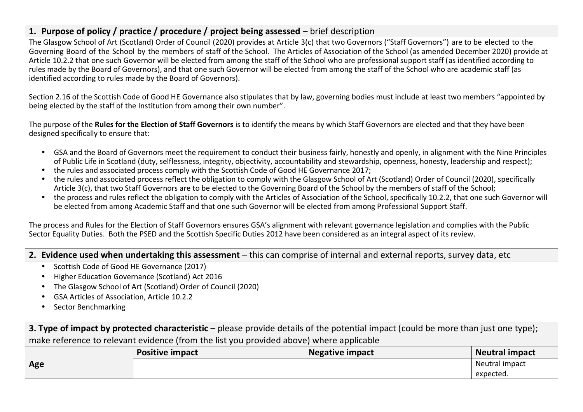## **1. Purpose of policy / practice / procedure / project being assessed** – brief description

The Glasgow School of Art (Scotland) Order of Council (2020) provides at Article 3(c) that two Governors ("Staff Governors") are to be elected to the Governing Board of the School by the members of staff of the School. The Articles of Association of the School (as amended December 2020) provide at Article 10.2.2 that one such Governor will be elected from among the staff of the School who are professional support staff (as identified according to rules made by the Board of Governors), and that one such Governor will be elected from among the staff of the School who are academic staff (as identified according to rules made by the Board of Governors).

Section 2.16 of the Scottish Code of Good HE Governance also stipulates that by law, governing bodies must include at least two members "appointed by being elected by the staff of the Institution from among their own number".

The purpose of the **Rules for the Election of Staff Governors** is to identify the means by which Staff Governors are elected and that they have been designed specifically to ensure that:

- GSA and the Board of Governors meet the requirement to conduct their business fairly, honestly and openly, in alignment with the Nine Principles of Public Life in Scotland (duty, selflessness, integrity, objectivity, accountability and stewardship, openness, honesty, leadership and respect);
- the rules and associated process comply with the Scottish Code of Good HE Governance 2017;
- the rules and associated process reflect the obligation to comply with the Glasgow School of Art (Scotland) Order of Council (2020), specifically Article 3(c), that two Staff Governors are to be elected to the Governing Board of the School by the members of staff of the School;
- the process and rules reflect the obligation to comply with the Articles of Association of the School, specifically 10.2.2, that one such Governor will be elected from among Academic Staff and that one such Governor will be elected from among Professional Support Staff.

The process and Rules for the Election of Staff Governors ensures GSA's alignment with relevant governance legislation and complies with the Public Sector Equality Duties. Both the PSED and the Scottish Specific Duties 2012 have been considered as an integral aspect of its review.

**2. Evidence used when undertaking this assessment** – this can comprise of internal and external reports, survey data, etc

- Scottish Code of Good HE Governance (2017)
- Higher Education Governance (Scotland) Act 2016
- The Glasgow School of Art (Scotland) Order of Council (2020)
- GSA Articles of Association, Article 10.2.2
- Sector Benchmarking

**3. Type of impact by protected characteristic** – please provide details of the potential impact (could be more than just one type); make reference to relevant evidence (from the list you provided above) where applicable

|     | <b>Positive impact</b> | <b>Negative impact</b> | Neutral impact |
|-----|------------------------|------------------------|----------------|
| Age |                        |                        | Neutral impact |
|     |                        |                        | expected.      |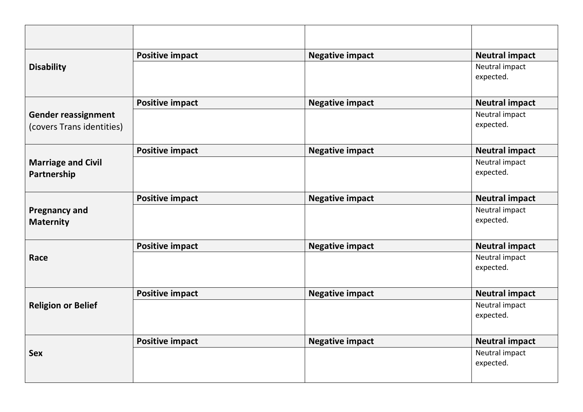|                                                         | <b>Positive impact</b> | <b>Negative impact</b> | <b>Neutral impact</b>       |
|---------------------------------------------------------|------------------------|------------------------|-----------------------------|
| <b>Disability</b>                                       |                        |                        | Neutral impact<br>expected. |
|                                                         | <b>Positive impact</b> | <b>Negative impact</b> | <b>Neutral impact</b>       |
| <b>Gender reassignment</b><br>(covers Trans identities) |                        |                        | Neutral impact<br>expected. |
|                                                         | <b>Positive impact</b> | <b>Negative impact</b> | <b>Neutral impact</b>       |
| <b>Marriage and Civil</b><br>Partnership                |                        |                        | Neutral impact<br>expected. |
|                                                         | <b>Positive impact</b> | <b>Negative impact</b> | <b>Neutral impact</b>       |
| <b>Pregnancy and</b><br><b>Maternity</b>                |                        |                        | Neutral impact<br>expected. |
|                                                         | <b>Positive impact</b> | <b>Negative impact</b> | <b>Neutral impact</b>       |
| Race                                                    |                        |                        | Neutral impact<br>expected. |
| <b>Religion or Belief</b>                               | <b>Positive impact</b> | <b>Negative impact</b> | <b>Neutral impact</b>       |
|                                                         |                        |                        | Neutral impact<br>expected. |
| <b>Sex</b>                                              | <b>Positive impact</b> | <b>Negative impact</b> | <b>Neutral impact</b>       |
|                                                         |                        |                        | Neutral impact<br>expected. |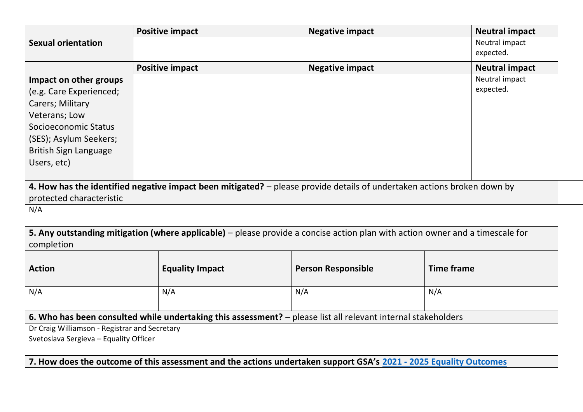|                                               | <b>Positive impact</b> | <b>Negative impact</b>                                                                                                        | <b>Neutral impact</b> |
|-----------------------------------------------|------------------------|-------------------------------------------------------------------------------------------------------------------------------|-----------------------|
| <b>Sexual orientation</b>                     |                        |                                                                                                                               | Neutral impact        |
|                                               |                        |                                                                                                                               | expected.             |
|                                               | <b>Positive impact</b> | <b>Negative impact</b>                                                                                                        | <b>Neutral impact</b> |
| Impact on other groups                        |                        |                                                                                                                               | Neutral impact        |
| (e.g. Care Experienced;                       |                        |                                                                                                                               | expected.             |
| Carers; Military                              |                        |                                                                                                                               |                       |
| Veterans; Low                                 |                        |                                                                                                                               |                       |
| Socioeconomic Status                          |                        |                                                                                                                               |                       |
| (SES); Asylum Seekers;                        |                        |                                                                                                                               |                       |
| <b>British Sign Language</b>                  |                        |                                                                                                                               |                       |
| Users, etc)                                   |                        |                                                                                                                               |                       |
|                                               |                        |                                                                                                                               |                       |
|                                               |                        | 4. How has the identified negative impact been mitigated? – please provide details of undertaken actions broken down by       |                       |
| protected characteristic                      |                        |                                                                                                                               |                       |
| N/A                                           |                        |                                                                                                                               |                       |
|                                               |                        |                                                                                                                               |                       |
|                                               |                        | 5. Any outstanding mitigation (where applicable) – please provide a concise action plan with action owner and a timescale for |                       |
| completion                                    |                        |                                                                                                                               |                       |
|                                               |                        |                                                                                                                               |                       |
| <b>Action</b>                                 | <b>Equality Impact</b> | <b>Person Responsible</b>                                                                                                     | <b>Time frame</b>     |
|                                               |                        |                                                                                                                               |                       |
| N/A                                           | N/A                    | N/A                                                                                                                           | N/A                   |
|                                               |                        |                                                                                                                               |                       |
|                                               |                        | 6. Who has been consulted while undertaking this assessment? - please list all relevant internal stakeholders                 |                       |
| Dr Craig Williamson - Registrar and Secretary |                        |                                                                                                                               |                       |
| Svetoslava Sergieva - Equality Officer        |                        |                                                                                                                               |                       |
|                                               |                        | 7. How does the outcome of this assessment and the actions undertaken support GSA's 2021 - 2025 Equality Outcomes             |                       |
|                                               |                        |                                                                                                                               |                       |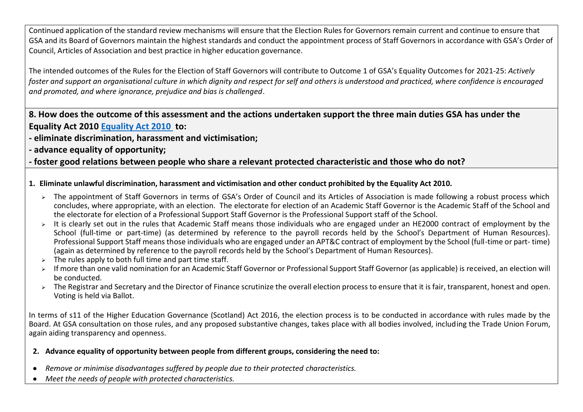Continued application of the standard review mechanisms will ensure that the Election Rules for Governors remain current and continue to ensure that GSA and its Board of Governors maintain the highest standards and conduct the appointment process of Staff Governors in accordance with GSA's Order of Council, Articles of Association and best practice in higher education governance.

The intended outcomes of the Rules for the Election of Staff Governors will contribute to Outcome 1 of GSA's Equality Outcomes for 2021-25: *Actively foster and support an organisational culture in which dignity and respect for self and others is understood and practiced, where confidence is encouraged and promoted, and where ignorance, prejudice and bias is challenged*.

**8. How does the outcome of this assessment and the actions undertaken support the three main duties GSA has under the Equality Act 2010 [Equality Act 2010](https://www.equalityhumanrights.com/en/corporate-reporting/public-sector-equality-duty) to:**

- **- eliminate discrimination, harassment and victimisation;**
- **- advance equality of opportunity;**

**- foster good relations between people who share a relevant protected characteristic and those who do not?**

#### **1. Eliminate unlawful discrimination, harassment and victimisation and other conduct prohibited by the Equality Act 2010.**

- ➢ The appointment of Staff Governors in terms of GSA's Order of Council and its Articles of Association is made following a robust process which concludes, where appropriate, with an election. The electorate for election of an Academic Staff Governor is the Academic Staff of the School and the electorate for election of a Professional Support Staff Governor is the Professional Support staff of the School.
- ➢ It is clearly set out in the rules that Academic Staff means those individuals who are engaged under an HE2000 contract of employment by the School (full-time or part-time) (as determined by reference to the payroll records held by the School's Department of Human Resources). Professional Support Staff means those individuals who are engaged under an APT&C contract of employment by the School (full-time or part- time) (again as determined by reference to the payroll records held by the School's Department of Human Resources).
- $\triangleright$  The rules apply to both full time and part time staff.
- ➢ If more than one valid nomination for an Academic Staff Governor or Professional Support Staff Governor (as applicable) is received, an election will be conducted.
- ➢ The Registrar and Secretary and the Director of Finance scrutinize the overall election process to ensure that it is fair, transparent, honest and open. Voting is held via Ballot.

In terms of s11 of the Higher Education Governance (Scotland) Act 2016, the election process is to be conducted in accordance with rules made by the Board. At GSA consultation on those rules, and any proposed substantive changes, takes place with all bodies involved, including the Trade Union Forum, again aiding transparency and openness.

## **2. Advance equality of opportunity between people from different groups, considering the need to:**

- *Remove or minimise disadvantages suffered by people due to their protected characteristics.*
- *Meet the needs of people with protected characteristics.*